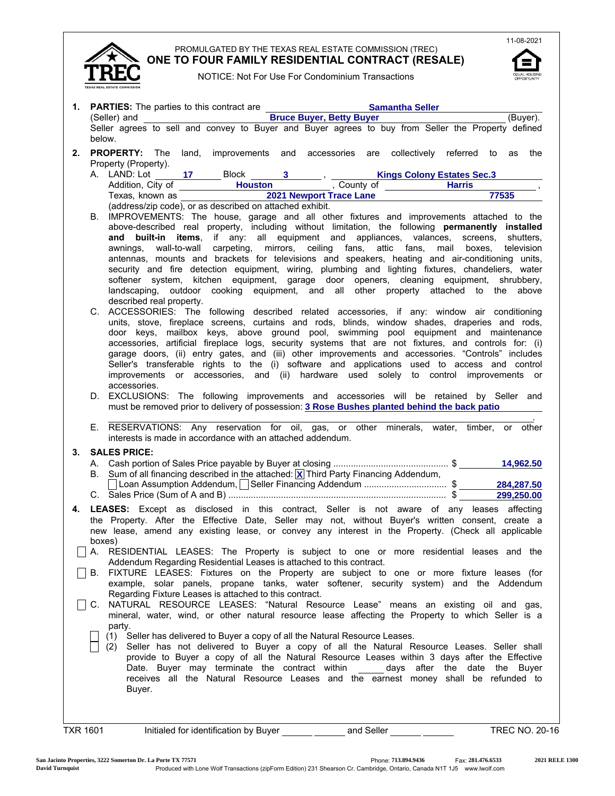

## PROMULGATED BY THE TEXAS REAL ESTATE COMMISSION (TREC) ONE TO FOUR FAMILY RESIDENTIAL CONTRACT (RESALE)

NOTICE: Not For Use For Condominium Transactions



| 1.     |              | <b>PARTIES:</b> The parties to this contract are __________________________Samantha Seller                                                                                                                                                                                                                                                                                                                                            |
|--------|--------------|---------------------------------------------------------------------------------------------------------------------------------------------------------------------------------------------------------------------------------------------------------------------------------------------------------------------------------------------------------------------------------------------------------------------------------------|
|        |              | (Seller) and <b>Seller</b> (Seller) and <b>Seller</b> (Seller) and <b>Seller</b> (Seller) and <b>Seller</b> (Seller) and <b>Seller</b> (Seller) and <b>Seller</b> (Seller) and <b>Seller</b> (Seller) and <b>Seller</b> (Seller) and <b>Seller</b> (Seller) and <b>Seller</b> (S<br><b>Bruce Buyer, Betty Buyer</b><br>(Buyer).<br>Seller agrees to sell and convey to Buyer and Buyer agrees to buy from Seller the Property defined |
|        | below.       |                                                                                                                                                                                                                                                                                                                                                                                                                                       |
| 2.     |              | PROPERTY: The land, improvements and accessories are collectively referred to as the<br>Property (Property).                                                                                                                                                                                                                                                                                                                          |
|        |              | A. LAND: Lot 17 Block 3 Nings Colony Estates Sec.3<br>Addition, City of <u>Nouston Houston</u> , County of Narris                                                                                                                                                                                                                                                                                                                     |
|        |              |                                                                                                                                                                                                                                                                                                                                                                                                                                       |
|        |              | Texas, known as <b>Example 2021 Newport Trace Lane</b><br>77535                                                                                                                                                                                                                                                                                                                                                                       |
|        |              | (address/zip code), or as described on attached exhibit.<br>B. IMPROVEMENTS: The house, garage and all other fixtures and improvements attached to the                                                                                                                                                                                                                                                                                |
|        |              | above-described real property, including without limitation, the following permanently installed                                                                                                                                                                                                                                                                                                                                      |
|        |              | and built-in items, if any: all equipment and appliances, valances,<br>screens, shutters,                                                                                                                                                                                                                                                                                                                                             |
|        |              | awnings, wall-to-wall carpeting, mirrors, ceiling fans, attic fans,<br>mail boxes, television                                                                                                                                                                                                                                                                                                                                         |
|        |              | antennas, mounts and brackets for televisions and speakers, heating and air-conditioning units,                                                                                                                                                                                                                                                                                                                                       |
|        |              | security and fire detection equipment, wiring, plumbing and lighting fixtures, chandeliers, water                                                                                                                                                                                                                                                                                                                                     |
|        |              | softener system, kitchen equipment, garage door openers, cleaning equipment, shrubbery,<br>landscaping, outdoor cooking equipment, and all other property attached to the above                                                                                                                                                                                                                                                       |
|        |              | described real property.                                                                                                                                                                                                                                                                                                                                                                                                              |
|        |              | C. ACCESSORIES: The following described related accessories, if any: window air conditioning                                                                                                                                                                                                                                                                                                                                          |
|        |              | units, stove, fireplace screens, curtains and rods, blinds, window shades, draperies and rods,                                                                                                                                                                                                                                                                                                                                        |
|        |              | door keys, mailbox keys, above ground pool, swimming pool equipment and maintenance<br>accessories, artificial fireplace logs, security systems that are not fixtures, and controls for: (i)                                                                                                                                                                                                                                          |
|        |              | garage doors, (ii) entry gates, and (iii) other improvements and accessories. "Controls" includes                                                                                                                                                                                                                                                                                                                                     |
|        |              | Seller's transferable rights to the (i) software and applications used to access and control                                                                                                                                                                                                                                                                                                                                          |
|        |              | improvements or accessories, and (ii) hardware used solely to control improvements or                                                                                                                                                                                                                                                                                                                                                 |
|        |              | accessories.<br>D. EXCLUSIONS: The following improvements and accessories will be retained by Seller and                                                                                                                                                                                                                                                                                                                              |
|        |              | must be removed prior to delivery of possession: 3 Rose Bushes planted behind the back patio                                                                                                                                                                                                                                                                                                                                          |
|        |              | E. RESERVATIONS: Any reservation for oil, gas, or other minerals, water, timber, or other                                                                                                                                                                                                                                                                                                                                             |
|        |              | interests is made in accordance with an attached addendum.                                                                                                                                                                                                                                                                                                                                                                            |
| 3.     |              | <b>SALES PRICE:</b>                                                                                                                                                                                                                                                                                                                                                                                                                   |
|        |              | 14,962.50                                                                                                                                                                                                                                                                                                                                                                                                                             |
|        |              | B. Sum of all financing described in the attached: $X$ Third Party Financing Addendum,<br>Loan Assumption Addendum, Seller Financing Addendum  \$ ______ 284,287.50                                                                                                                                                                                                                                                                   |
|        |              |                                                                                                                                                                                                                                                                                                                                                                                                                                       |
|        |              | 4. LEASES: Except as disclosed in this contract, Seller is not aware of any leases affecting                                                                                                                                                                                                                                                                                                                                          |
|        |              | the Property. After the Effective Date, Seller may not, without Buyer's written consent, create a                                                                                                                                                                                                                                                                                                                                     |
|        |              | new lease, amend any existing lease, or convey any interest in the Property. (Check all applicable                                                                                                                                                                                                                                                                                                                                    |
| $\Box$ | boxes)<br>Α. | RESIDENTIAL LEASES: The Property is subject to one or more residential leases and the                                                                                                                                                                                                                                                                                                                                                 |
|        |              | Addendum Regarding Residential Leases is attached to this contract.                                                                                                                                                                                                                                                                                                                                                                   |
|        | В.           | FIXTURE LEASES: Fixtures on the Property are subject to one or more fixture leases (for                                                                                                                                                                                                                                                                                                                                               |
|        |              | example, solar panels, propane tanks, water softener, security system) and the Addendum                                                                                                                                                                                                                                                                                                                                               |
|        | C.           | Regarding Fixture Leases is attached to this contract.<br>NATURAL RESOURCE LEASES: "Natural Resource Lease" means an existing oil and gas,                                                                                                                                                                                                                                                                                            |
|        |              | mineral, water, wind, or other natural resource lease affecting the Property to which Seller is a                                                                                                                                                                                                                                                                                                                                     |
|        |              | party.                                                                                                                                                                                                                                                                                                                                                                                                                                |
|        |              | (1) Seller has delivered to Buyer a copy of all the Natural Resource Leases.                                                                                                                                                                                                                                                                                                                                                          |
|        |              | Seller has not delivered to Buyer a copy of all the Natural Resource Leases. Seller shall<br>(2)                                                                                                                                                                                                                                                                                                                                      |
|        |              | provide to Buyer a copy of all the Natural Resource Leases within 3 days after the Effective<br>Date. Buyer may terminate the contract within<br>days after the date the Buyer                                                                                                                                                                                                                                                        |
|        |              | receives all the Natural Resource Leases and the earnest money shall be refunded to                                                                                                                                                                                                                                                                                                                                                   |
|        |              | Buyer.                                                                                                                                                                                                                                                                                                                                                                                                                                |
|        |              |                                                                                                                                                                                                                                                                                                                                                                                                                                       |
|        |              |                                                                                                                                                                                                                                                                                                                                                                                                                                       |
|        |              |                                                                                                                                                                                                                                                                                                                                                                                                                                       |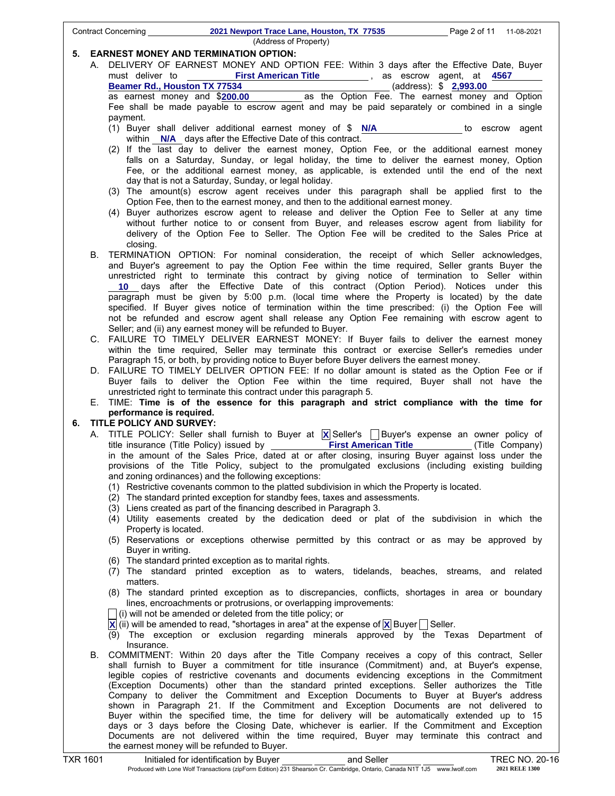|    |    | (Address of Property)                                                                                                                                                                                    |
|----|----|----------------------------------------------------------------------------------------------------------------------------------------------------------------------------------------------------------|
| 5. |    | <b>EARNEST MONEY AND TERMINATION OPTION:</b>                                                                                                                                                             |
|    | А. | DELIVERY OF EARNEST MONEY AND OPTION FEE: Within 3 days after the Effective Date, Buyer                                                                                                                  |
|    |    | First American Title 1991, as escrow agent, at 4567<br>must deliver to must allow                                                                                                                        |
|    |    | Beamer Rd., Houston TX 77534<br>(address): \$2,993.00                                                                                                                                                    |
|    |    | as earnest money and \$200.00 as the Option Fee. The earnest money and Option<br>Fee shall be made payable to escrow agent and may be paid separately or combined in a single                            |
|    |    | payment.                                                                                                                                                                                                 |
|    |    | (1) Buyer shall deliver additional earnest money of \$ N/A ______________ to escrow agent                                                                                                                |
|    |    | within <b>N/A</b> days after the Effective Date of this contract.                                                                                                                                        |
|    |    | (2) If the last day to deliver the earnest money, Option Fee, or the additional earnest money                                                                                                            |
|    |    | falls on a Saturday, Sunday, or legal holiday, the time to deliver the earnest money, Option<br>Fee, or the additional earnest money, as applicable, is extended until the end of the next               |
|    |    | day that is not a Saturday, Sunday, or legal holiday.                                                                                                                                                    |
|    |    | (3) The amount(s) escrow agent receives under this paragraph shall be applied first to the                                                                                                               |
|    |    | Option Fee, then to the earnest money, and then to the additional earnest money.                                                                                                                         |
|    |    | (4) Buyer authorizes escrow agent to release and deliver the Option Fee to Seller at any time                                                                                                            |
|    |    | without further notice to or consent from Buyer, and releases escrow agent from liability for                                                                                                            |
|    |    | delivery of the Option Fee to Seller. The Option Fee will be credited to the Sales Price at<br>closing.                                                                                                  |
|    |    | B. TERMINATION OPTION: For nominal consideration, the receipt of which Seller acknowledges,                                                                                                              |
|    |    | and Buyer's agreement to pay the Option Fee within the time required, Seller grants Buyer the                                                                                                            |
|    |    | unrestricted right to terminate this contract by giving notice of termination to Seller within                                                                                                           |
|    |    | 10 days after the Effective Date of this contract (Option Period). Notices under this<br>paragraph must be given by 5:00 p.m. (local time where the Property is located) by the date                     |
|    |    | specified. If Buyer gives notice of termination within the time prescribed: (i) the Option Fee will                                                                                                      |
|    |    | not be refunded and escrow agent shall release any Option Fee remaining with escrow agent to                                                                                                             |
|    |    | Seller; and (ii) any earnest money will be refunded to Buyer.                                                                                                                                            |
|    |    | C. FAILURE TO TIMELY DELIVER EARNEST MONEY: If Buyer fails to deliver the earnest money                                                                                                                  |
|    |    | within the time required, Seller may terminate this contract or exercise Seller's remedies under<br>Paragraph 15, or both, by providing notice to Buyer before Buyer delivers the earnest money.         |
|    |    | D. FAILURE TO TIMELY DELIVER OPTION FEE: If no dollar amount is stated as the Option Fee or if                                                                                                           |
|    |    | Buyer fails to deliver the Option Fee within the time required, Buyer shall not have the                                                                                                                 |
|    |    | unrestricted right to terminate this contract under this paragraph 5.                                                                                                                                    |
|    |    | E. TIME: Time is of the essence for this paragraph and strict compliance with the time for<br>performance is required.                                                                                   |
| 6. |    | <b>TITLE POLICY AND SURVEY:</b>                                                                                                                                                                          |
|    |    | A. TITLE POLICY: Seller shall furnish to Buyer at $\bar{x}$ Seller's Buyer's expense an owner policy of                                                                                                  |
|    |    | title insurance (Title Policy) issued by <b>First American Title</b> (Title Company)                                                                                                                     |
|    |    | in the amount of the Sales Price, dated at or after closing, insuring Buyer against loss under the<br>provisions of the Title Policy, subject to the promulgated exclusions (including existing building |
|    |    | and zoning ordinances) and the following exceptions:                                                                                                                                                     |
|    |    | (1) Restrictive covenants common to the platted subdivision in which the Property is located.                                                                                                            |
|    |    | (2) The standard printed exception for standby fees, taxes and assessments.                                                                                                                              |
|    |    | (3) Liens created as part of the financing described in Paragraph 3.<br>(4) Utility easements created by the dedication deed or plat of the subdivision in which the                                     |
|    |    | Property is located.                                                                                                                                                                                     |
|    |    | (5) Reservations or exceptions otherwise permitted by this contract or as may be approved by                                                                                                             |
|    |    | Buyer in writing.                                                                                                                                                                                        |
|    |    | (6) The standard printed exception as to marital rights.<br>(7) The standard printed exception as to waters, tidelands, beaches, streams, and related                                                    |
|    |    | matters.                                                                                                                                                                                                 |
|    |    | (8) The standard printed exception as to discrepancies, conflicts, shortages in area or boundary                                                                                                         |
|    |    | lines, encroachments or protrusions, or overlapping improvements:                                                                                                                                        |
|    |    | (i) will not be amended or deleted from the title policy; or<br>$\chi$ (ii) will be amended to read, "shortages in area" at the expense of $\chi$ Buyer Seller.                                          |
|    |    | (9) The exception or exclusion regarding minerals approved by the Texas Department of                                                                                                                    |
|    |    | Insurance.                                                                                                                                                                                               |
|    | В. | COMMITMENT: Within 20 days after the Title Company receives a copy of this contract, Seller                                                                                                              |
|    |    | shall furnish to Buyer a commitment for title insurance (Commitment) and, at Buyer's expense,                                                                                                            |
|    |    |                                                                                                                                                                                                          |
|    |    | legible copies of restrictive covenants and documents evidencing exceptions in the Commitment<br>(Exception Documents) other than the standard printed exceptions. Seller authorizes the Title           |
|    |    | Company to deliver the Commitment and Exception Documents to Buyer at Buyer's address                                                                                                                    |
|    |    | shown in Paragraph 21. If the Commitment and Exception Documents are not delivered to                                                                                                                    |
|    |    | Buyer within the specified time, the time for delivery will be automatically extended up to 15<br>days or 3 days before the Closing Date, whichever is earlier. If the Commitment and Exception          |

the earnest money will be refunded to Buyer.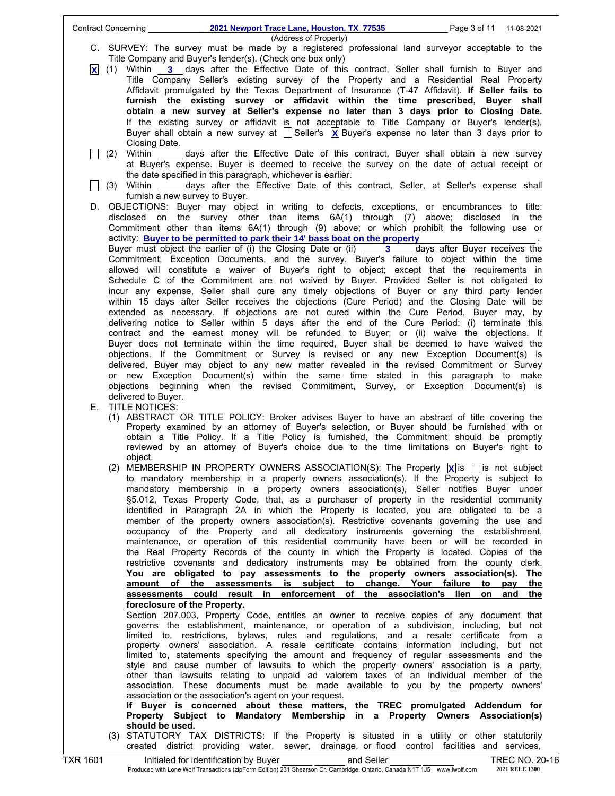|             | <b>Contract Concerning</b><br>2021 Newport Trace Lane, Houston, TX 77535 Page 3 of 11 11-08-2021                                                                                           |
|-------------|--------------------------------------------------------------------------------------------------------------------------------------------------------------------------------------------|
|             | (Address of Property)<br>C. SURVEY: The survey must be made by a registered professional land surveyor acceptable to the                                                                   |
|             | Title Company and Buyer's lender(s). (Check one box only)                                                                                                                                  |
| $ {\bf x} $ | (1) Within 3 days after the Effective Date of this contract, Seller shall furnish to Buyer and                                                                                             |
|             | Title Company Seller's existing survey of the Property and a Residential Real Property                                                                                                     |
|             | Affidavit promulgated by the Texas Department of Insurance (T-47 Affidavit). If Seller fails to<br>furnish the existing survey or affidavit within the time prescribed, Buyer shall        |
|             | obtain a new survey at Seller's expense no later than 3 days prior to Closing Date.                                                                                                        |
|             | If the existing survey or affidavit is not acceptable to Title Company or Buyer's lender(s),                                                                                               |
|             | Buyer shall obtain a new survey at Seller's $\overline{X}$ Buyer's expense no later than 3 days prior to                                                                                   |
|             | Closing Date.<br>(2) Within cays after the Effective Date of this contract, Buyer shall obtain a new survey                                                                                |
|             | at Buyer's expense. Buyer is deemed to receive the survey on the date of actual receipt or                                                                                                 |
|             | the date specified in this paragraph, whichever is earlier.                                                                                                                                |
|             | (3) Within days after the Effective Date of this contract, Seller, at Seller's expense shall                                                                                               |
|             | furnish a new survey to Buyer.<br>OBJECTIONS: Buyer may object in writing to defects, exceptions, or encumbrances to title:                                                                |
| D.          | disclosed on the survey other than items 6A(1) through (7) above; disclosed in the                                                                                                         |
|             | Commitment other than items 6A(1) through (9) above; or which prohibit the following use or                                                                                                |
|             | activity: Buyer to be permitted to park their 14' bass boat on the property                                                                                                                |
|             | Buyer must object the earlier of (i) the Closing Date or (ii) 3 days after Buyer receives the                                                                                              |
|             | Commitment, Exception Documents, and the survey. Buyer's failure to object within the time<br>allowed will constitute a waiver of Buyer's right to object; except that the requirements in |
|             | Schedule C of the Commitment are not waived by Buyer. Provided Seller is not obligated to                                                                                                  |
|             | incur any expense, Seller shall cure any timely objections of Buyer or any third party lender                                                                                              |
|             | within 15 days after Seller receives the objections (Cure Period) and the Closing Date will be                                                                                             |
|             | extended as necessary. If objections are not cured within the Cure Period, Buyer may, by<br>delivering notice to Seller within 5 days after the end of the Cure Period: (i) terminate this |
|             | contract and the earnest money will be refunded to Buyer; or (ii) waive the objections. If                                                                                                 |
|             | Buyer does not terminate within the time required, Buyer shall be deemed to have waived the                                                                                                |
|             | objections. If the Commitment or Survey is revised or any new Exception Document(s) is                                                                                                     |
|             | delivered, Buyer may object to any new matter revealed in the revised Commitment or Survey<br>or new Exception Document(s) within the same time stated in this paragraph to make           |
|             | objections beginning when the revised Commitment, Survey, or Exception Document(s) is                                                                                                      |
|             | delivered to Buyer.                                                                                                                                                                        |
| Е.          | <b>TITLE NOTICES:</b><br>(1) ABSTRACT OR TITLE POLICY: Broker advises Buyer to have an abstract of title covering the                                                                      |
|             | Property examined by an attorney of Buyer's selection, or Buyer should be furnished with or                                                                                                |
|             | obtain a Title Policy. If a Title Policy is furnished, the Commitment should be promptly                                                                                                   |
|             | reviewed by an attorney of Buyer's choice due to the time limitations on Buyer's right to                                                                                                  |
|             | object.<br>(2) MEMBERSHIP IN PROPERTY OWNERS ASSOCIATION(S): The Property $\boxed{\mathbf{X}}$ is $\boxed{\phantom{1}}$ is not subject                                                     |
|             | to mandatory membership in a property owners association(s). If the Property is subject to                                                                                                 |
|             | mandatory membership in a property owners association(s), Seller notifies Buyer under                                                                                                      |
|             | §5.012, Texas Property Code, that, as a purchaser of property in the residential community                                                                                                 |
|             | identified in Paragraph 2A in which the Property is located, you are obligated to be a<br>member of the property owners association(s). Restrictive covenants governing the use and        |
|             | occupancy of the Property and all dedicatory instruments governing the establishment,                                                                                                      |
|             | maintenance, or operation of this residential community have been or will be recorded in                                                                                                   |
|             | the Real Property Records of the county in which the Property is located. Copies of the                                                                                                    |
|             | restrictive covenants and dedicatory instruments may be obtained from the county clerk.<br><u>You are obligated to pay assessments to the property owners association(s). The You</u>      |
|             | amount of the assessments is subject to change. Your failure<br>to<br>pay<br>the                                                                                                           |
|             | assessments could result in enforcement of the association's lien on<br>and<br>the                                                                                                         |
|             | foreclosure of the Property.                                                                                                                                                               |
|             | Section 207.003, Property Code, entitles an owner to receive copies of any document that<br>governs the establishment, maintenance, or operation of a subdivision, including, but not      |
|             | limited to, restrictions, bylaws, rules and regulations, and a resale certificate from a                                                                                                   |
|             | property owners' association. A resale certificate contains information including, but not                                                                                                 |
|             | limited to, statements specifying the amount and frequency of regular assessments and the<br>style and cause number of lawsuits to which the property owners' association is a party,      |
|             | other than lawsuits relating to unpaid ad valorem taxes of an individual member of the                                                                                                     |
|             | association. These documents must be made available to you by the property owners'                                                                                                         |
|             | association or the association's agent on your request.<br>If Buyer is concerned about these matters, the TREC promulgated Addendum for                                                    |
|             | Property Subject to Mandatory Membership in a Property Owners Association(s)                                                                                                               |
|             | should be used.                                                                                                                                                                            |
|             | (3) STATUTORY TAX DISTRICTS: If the Property is situated in a utility or other statutorily<br>created district providing water, sewer, drainage, or flood control facilities and services, |
|             | Initialed for identification by Buyer <b>community</b> and Seller<br>TREC NO 20-<br>EXR 1601 - EXR 1601                                                                                    |

TXR 1601 Initialed for identification by Buyer and Seller and Seller TREC NO. 20-16<br>Produced with Lone Wolf Transactions (zipForm Edition) 231 Shearson Cr. Cambridge, Ontario, Canada N1T 1J5 www.lwolf.com 2021 RELE 1300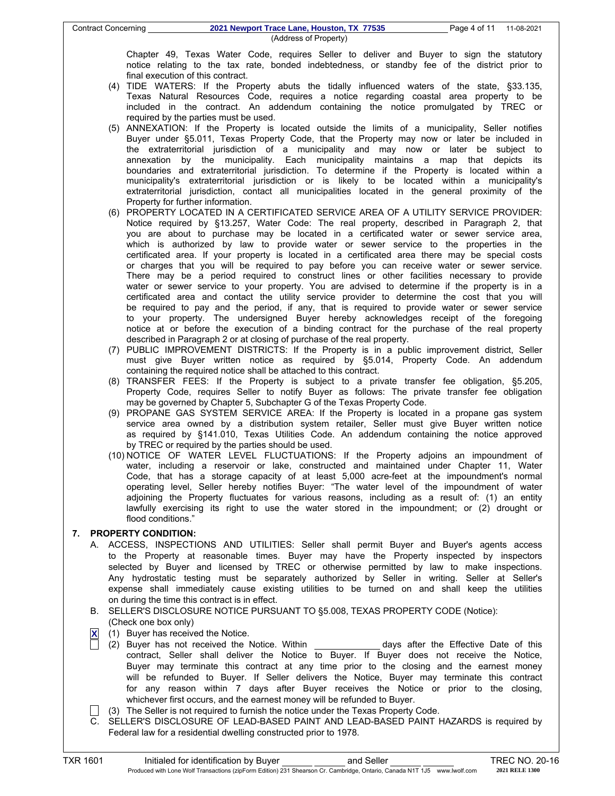| Contract Concerning <b>2021 Newport Trace Lane, Houston, TX 77535</b> Page 4 of 11 11-08-2021<br>(Address of Property)                                                                                                                                                                                                                                                                                                                                                                                                                                                                                                                                                                                                                                                                                                                                                                                                                                                                                                                                                                                                                                                                                                                                                                                                                                                                                                                                                                                                                                                                                                                                                                                                                                                                                                                                                                                                                                                                                                                                                                                                                                               |  |
|----------------------------------------------------------------------------------------------------------------------------------------------------------------------------------------------------------------------------------------------------------------------------------------------------------------------------------------------------------------------------------------------------------------------------------------------------------------------------------------------------------------------------------------------------------------------------------------------------------------------------------------------------------------------------------------------------------------------------------------------------------------------------------------------------------------------------------------------------------------------------------------------------------------------------------------------------------------------------------------------------------------------------------------------------------------------------------------------------------------------------------------------------------------------------------------------------------------------------------------------------------------------------------------------------------------------------------------------------------------------------------------------------------------------------------------------------------------------------------------------------------------------------------------------------------------------------------------------------------------------------------------------------------------------------------------------------------------------------------------------------------------------------------------------------------------------------------------------------------------------------------------------------------------------------------------------------------------------------------------------------------------------------------------------------------------------------------------------------------------------------------------------------------------------|--|
| Chapter 49, Texas Water Code, requires Seller to deliver and Buyer to sign the statutory<br>notice relating to the tax rate, bonded indebtedness, or standby fee of the district prior to<br>final execution of this contract.                                                                                                                                                                                                                                                                                                                                                                                                                                                                                                                                                                                                                                                                                                                                                                                                                                                                                                                                                                                                                                                                                                                                                                                                                                                                                                                                                                                                                                                                                                                                                                                                                                                                                                                                                                                                                                                                                                                                       |  |
| (4) TIDE WATERS: If the Property abuts the tidally influenced waters of the state, §33.135,<br>Texas Natural Resources Code, requires a notice regarding coastal area property to be<br>included in the contract. An addendum containing the notice promulgated by TREC or<br>required by the parties must be used.                                                                                                                                                                                                                                                                                                                                                                                                                                                                                                                                                                                                                                                                                                                                                                                                                                                                                                                                                                                                                                                                                                                                                                                                                                                                                                                                                                                                                                                                                                                                                                                                                                                                                                                                                                                                                                                  |  |
| (5) ANNEXATION: If the Property is located outside the limits of a municipality, Seller notifies<br>Buyer under §5.011, Texas Property Code, that the Property may now or later be included in<br>the extraterritorial jurisdiction of a municipality and may now or later be subject to<br>annexation by the municipality. Each municipality maintains a map that depicts its<br>boundaries and extraterritorial jurisdiction. To determine if the Property is located within a<br>municipality's extraterritorial jurisdiction or is likely to be located within a municipality's<br>extraterritorial jurisdiction, contact all municipalities located in the general proximity of the                                                                                                                                                                                                                                                                                                                                                                                                                                                                                                                                                                                                                                                                                                                                                                                                                                                                                                                                                                                                                                                                                                                                                                                                                                                                                                                                                                                                                                                                             |  |
| Property for further information.<br>(6) PROPERTY LOCATED IN A CERTIFICATED SERVICE AREA OF A UTILITY SERVICE PROVIDER:<br>Notice required by §13.257, Water Code: The real property, described in Paragraph 2, that<br>you are about to purchase may be located in a certificated water or sewer service area,<br>which is authorized by law to provide water or sewer service to the properties in the<br>certificated area. If your property is located in a certificated area there may be special costs<br>or charges that you will be required to pay before you can receive water or sewer service.<br>There may be a period required to construct lines or other facilities necessary to provide<br>water or sewer service to your property. You are advised to determine if the property is in a<br>certificated area and contact the utility service provider to determine the cost that you will<br>be required to pay and the period, if any, that is required to provide water or sewer service<br>to your property. The undersigned Buyer hereby acknowledges receipt of the foregoing<br>notice at or before the execution of a binding contract for the purchase of the real property<br>described in Paragraph 2 or at closing of purchase of the real property.<br>(7) PUBLIC IMPROVEMENT DISTRICTS: If the Property is in a public improvement district, Seller<br>must give Buyer written notice as required by §5.014, Property Code. An addendum<br>containing the required notice shall be attached to this contract.<br>(8) TRANSFER FEES: If the Property is subject to a private transfer fee obligation, §5.205,<br>Property Code, requires Seller to notify Buyer as follows: The private transfer fee obligation<br>may be governed by Chapter 5, Subchapter G of the Texas Property Code.<br>(9) PROPANE GAS SYSTEM SERVICE AREA: If the Property is located in a propane gas system<br>service area owned by a distribution system retailer, Seller must give Buyer written notice<br>as required by §141.010, Texas Utilities Code. An addendum containing the notice approved<br>by TREC or required by the parties should be used. |  |
| (10) NOTICE OF WATER LEVEL FLUCTUATIONS: If the Property adjoins an impoundment of<br>water, including a reservoir or lake, constructed and maintained under Chapter 11, Water<br>Code, that has a storage capacity of at least 5,000 acre-feet at the impoundment's normal<br>operating level, Seller hereby notifies Buyer: "The water level of the impoundment of water<br>adjoining the Property fluctuates for various reasons, including as a result of: (1) an entity<br>lawfully exercising its right to use the water stored in the impoundment; or (2) drought or<br>flood conditions."                                                                                                                                                                                                                                                                                                                                                                                                                                                                                                                                                                                                                                                                                                                                                                                                                                                                                                                                                                                                                                                                                                                                                                                                                                                                                                                                                                                                                                                                                                                                                                    |  |
| 7. PROPERTY CONDITION:<br>A. ACCESS, INSPECTIONS AND UTILITIES: Seller shall permit Buyer and Buyer's agents access<br>to the Property at reasonable times. Buyer may have the Property inspected by inspectors<br>selected by Buyer and licensed by TREC or otherwise permitted by law to make inspections.<br>Any hydrostatic testing must be separately authorized by Seller in writing. Seller at Seller's<br>expense shall immediately cause existing utilities to be turned on and shall keep the utilities<br>on during the time this contract is in effect.<br>B. SELLER'S DISCLOSURE NOTICE PURSUANT TO §5.008, TEXAS PROPERTY CODE (Notice):                                                                                                                                                                                                                                                                                                                                                                                                                                                                                                                                                                                                                                                                                                                                                                                                                                                                                                                                                                                                                                                                                                                                                                                                                                                                                                                                                                                                                                                                                                               |  |
| (Check one box only)                                                                                                                                                                                                                                                                                                                                                                                                                                                                                                                                                                                                                                                                                                                                                                                                                                                                                                                                                                                                                                                                                                                                                                                                                                                                                                                                                                                                                                                                                                                                                                                                                                                                                                                                                                                                                                                                                                                                                                                                                                                                                                                                                 |  |
| (1) Buyer has received the Notice.<br>$\vert \mathbf{x} \vert$<br>(2) Buyer has not received the Notice. Within<br>days after the Effective Date of this<br>contract, Seller shall deliver the Notice to Buyer. If Buyer does not receive the Notice,<br>Buyer may terminate this contract at any time prior to the closing and the earnest money<br>will be refunded to Buyer. If Seller delivers the Notice, Buyer may terminate this contract<br>for any reason within 7 days after Buyer receives the Notice or prior to the closing,<br>whichever first occurs, and the earnest money will be refunded to Buyer.<br>(3) The Seller is not required to furnish the notice under the Texas Property Code.<br>C. SELLER'S DISCLOSURE OF LEAD-BASED PAINT AND LEAD-BASED PAINT HAZARDS is required by<br>Federal law for a residential dwelling constructed prior to 1978.                                                                                                                                                                                                                                                                                                                                                                                                                                                                                                                                                                                                                                                                                                                                                                                                                                                                                                                                                                                                                                                                                                                                                                                                                                                                                          |  |
|                                                                                                                                                                                                                                                                                                                                                                                                                                                                                                                                                                                                                                                                                                                                                                                                                                                                                                                                                                                                                                                                                                                                                                                                                                                                                                                                                                                                                                                                                                                                                                                                                                                                                                                                                                                                                                                                                                                                                                                                                                                                                                                                                                      |  |
| and Seller<br><b>TREC NO. 20-16</b><br><b>TXR 1601</b><br>Initialed for identification by Buyer                                                                                                                                                                                                                                                                                                                                                                                                                                                                                                                                                                                                                                                                                                                                                                                                                                                                                                                                                                                                                                                                                                                                                                                                                                                                                                                                                                                                                                                                                                                                                                                                                                                                                                                                                                                                                                                                                                                                                                                                                                                                      |  |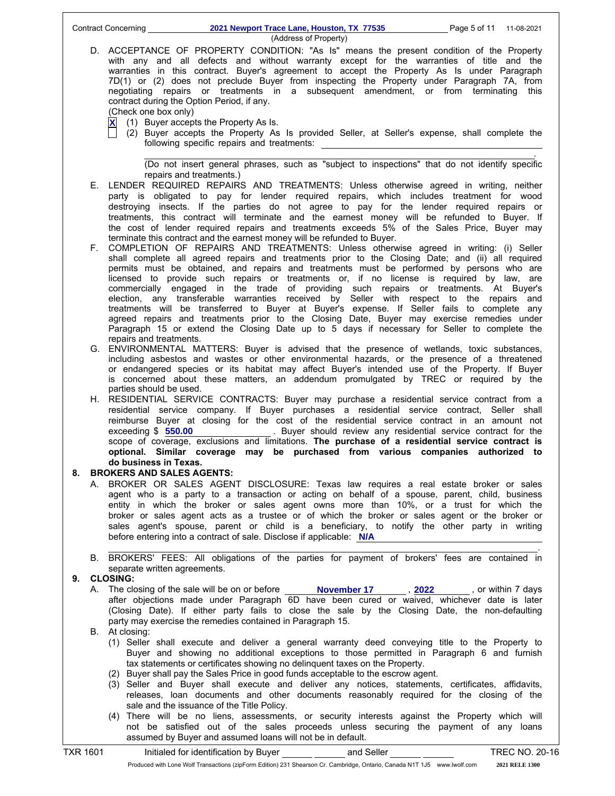|    |                 | Contract Concerning ______________<br>2021 Newport Trace Lane, Houston, TX 77535 Page 5 of 11 11-08-2021<br>(Address of Property)                                                                                                                                                                                                                                                                                                                                                                                                                                                                                                                                                                                                                                                                                                                                                                                                                                           |
|----|-----------------|-----------------------------------------------------------------------------------------------------------------------------------------------------------------------------------------------------------------------------------------------------------------------------------------------------------------------------------------------------------------------------------------------------------------------------------------------------------------------------------------------------------------------------------------------------------------------------------------------------------------------------------------------------------------------------------------------------------------------------------------------------------------------------------------------------------------------------------------------------------------------------------------------------------------------------------------------------------------------------|
|    |                 | D. ACCEPTANCE OF PROPERTY CONDITION: "As Is" means the present condition of the Property<br>with any and all defects and without warranty except for the warranties of title and the<br>warranties in this contract. Buyer's agreement to accept the Property As Is under Paragraph<br>7D(1) or (2) does not preclude Buyer from inspecting the Property under Paragraph 7A, from<br>negotiating repairs or treatments in a subsequent amendment, or from terminating<br>this<br>contract during the Option Period, if any.<br>(Check one box only)<br>$\vert X \vert$<br>(1) Buyer accepts the Property As Is.<br>(2) Buyer accepts the Property As Is provided Seller, at Seller's expense, shall complete the                                                                                                                                                                                                                                                            |
|    |                 | following specific repairs and treatments:<br>(Do not insert general phrases, such as "subject to inspections" that do not identify specific                                                                                                                                                                                                                                                                                                                                                                                                                                                                                                                                                                                                                                                                                                                                                                                                                                |
|    |                 | repairs and treatments.)<br>E. LENDER REQUIRED REPAIRS AND TREATMENTS: Unless otherwise agreed in writing, neither<br>party is obligated to pay for lender required repairs, which includes treatment for wood<br>destroying insects. If the parties do not agree to pay for the lender required repairs or<br>treatments, this contract will terminate and the earnest money will be refunded to Buyer. If<br>the cost of lender required repairs and treatments exceeds 5% of the Sales Price, Buyer may                                                                                                                                                                                                                                                                                                                                                                                                                                                                  |
|    | F.              | terminate this contract and the earnest money will be refunded to Buyer.<br>COMPLETION OF REPAIRS AND TREATMENTS: Unless otherwise agreed in writing: (i) Seller<br>shall complete all agreed repairs and treatments prior to the Closing Date; and (ii) all required<br>permits must be obtained, and repairs and treatments must be performed by persons who are<br>licensed to provide such repairs or treatments or, if no license is required by law, are<br>commercially engaged in the trade of providing such repairs or treatments. At Buyer's<br>election, any transferable warranties received by Seller with respect to the repairs and<br>treatments will be transferred to Buyer at Buyer's expense. If Seller fails to complete any<br>agreed repairs and treatments prior to the Closing Date, Buyer may exercise remedies under<br>Paragraph 15 or extend the Closing Date up to 5 days if necessary for Seller to complete the<br>repairs and treatments. |
|    |                 | G. ENVIRONMENTAL MATTERS: Buyer is advised that the presence of wetlands, toxic substances,<br>including asbestos and wastes or other environmental hazards, or the presence of a threatened<br>or endangered species or its habitat may affect Buyer's intended use of the Property. If Buyer<br>is concerned about these matters, an addendum promulgated by TREC or required by the<br>parties should be used.                                                                                                                                                                                                                                                                                                                                                                                                                                                                                                                                                           |
|    |                 | H. RESIDENTIAL SERVICE CONTRACTS: Buyer may purchase a residential service contract from a<br>residential service company. If Buyer purchases a residential service contract, Seller shall<br>reimburse Buyer at closing for the cost of the residential service contract in an amount not<br>exceeding \$550.00 Exercise Exercise Buyer should review any residential service contract for the<br>scope of coverage, exclusions and limitations. The purchase of a residential service contract is<br>optional. Similar coverage may be purchased from various companies authorized to<br>do business in Texas.                                                                                                                                                                                                                                                                                                                                                            |
| 8. |                 | <b>BROKERS AND SALES AGENTS:</b><br>A. BROKER OR SALES AGENT DISCLOSURE: Texas law requires a real estate broker or sales<br>agent who is a party to a transaction or acting on behalf of a spouse, parent, child, business<br>entity in which the broker or sales agent owns more than 10%, or a trust for which the<br>broker or sales agent acts as a trustee or of which the broker or sales agent or the broker or<br>sales agent's spouse, parent or child is a beneficiary, to notify the other party in writing<br>before entering into a contract of sale. Disclose if applicable: N/A                                                                                                                                                                                                                                                                                                                                                                             |
|    |                 | B. BROKERS' FEES: All obligations of the parties for payment of brokers' fees are contained in<br>separate written agreements.                                                                                                                                                                                                                                                                                                                                                                                                                                                                                                                                                                                                                                                                                                                                                                                                                                              |
| 9. |                 | <b>CLOSING:</b><br>A. The closing of the sale will be on or before <b>November 17</b> , 2022 , or within 7 days<br>after objections made under Paragraph 6D have been cured or waived, whichever date is later<br>(Closing Date). If either party fails to close the sale by the Closing Date, the non-defaulting<br>party may exercise the remedies contained in Paragraph 15.                                                                                                                                                                                                                                                                                                                                                                                                                                                                                                                                                                                             |
|    |                 | B. At closing:<br>(1) Seller shall execute and deliver a general warranty deed conveying title to the Property to<br>Buyer and showing no additional exceptions to those permitted in Paragraph 6 and furnish<br>tax statements or certificates showing no delinquent taxes on the Property.<br>(2) Buyer shall pay the Sales Price in good funds acceptable to the escrow agent.<br>(3) Seller and Buyer shall execute and deliver any notices, statements, certificates, affidavits,<br>releases, loan documents and other documents reasonably required for the closing of the                                                                                                                                                                                                                                                                                                                                                                                           |
|    |                 | sale and the issuance of the Title Policy.<br>(4) There will be no liens, assessments, or security interests against the Property which will<br>not be satisfied out of the sales proceeds unless securing the payment of any loans<br>assumed by Buyer and assumed loans will not be in default.                                                                                                                                                                                                                                                                                                                                                                                                                                                                                                                                                                                                                                                                           |
|    | <b>TXR 1601</b> | <b>TREC NO. 20-16</b><br>Initialed for identification by Buyer<br>and Seller                                                                                                                                                                                                                                                                                                                                                                                                                                                                                                                                                                                                                                                                                                                                                                                                                                                                                                |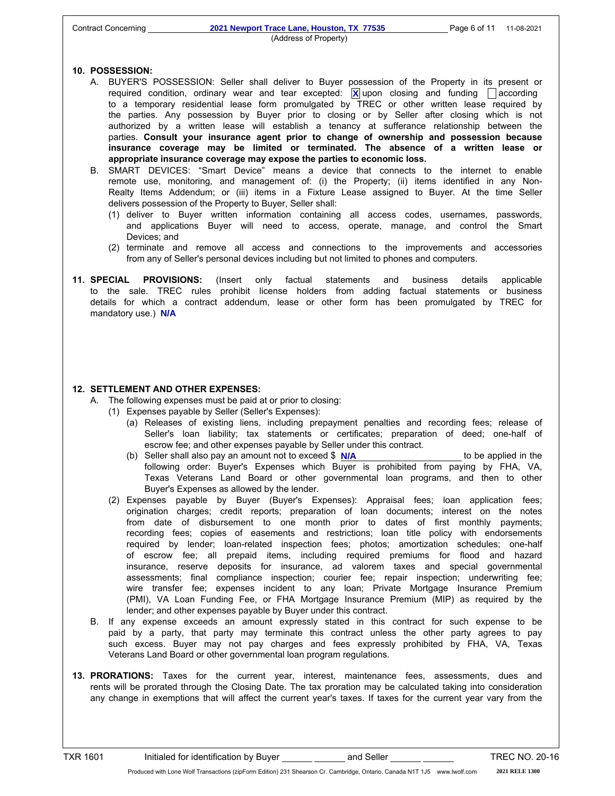## 10. POSSESSION:

- A. BUYER'S POSSESSION: Seller shall deliver to Buyer possession of the Property in its present or required condition, ordinary wear and tear excepted:  $|\mathbf{X}|$  upon closing and funding  $\Box$  according to a temporary residential lease form promulgated by TREC or other written lease required by the parties. Any possession by Buyer prior to closing or by Seller after closing which is not authorized by a written lease will establish a tenancy at sufferance relationship between the parties. Consult your insurance agent prior to change of ownership and possession because insurance coverage may be limited or terminated. The absence of a written lease or appropriate insurance coverage may expose the parties to economic loss.
- B. SMART DEVICES: "Smart Device" means a device that connects to the internet to enable remote use, monitoring, and management of: (i) the Property; (ii) items identified in any Non-Realty Items Addendum; or (iii) items in a Fixture Lease assigned to Buyer. At the time Seller delivers possession of the Property to Buyer, Seller shall:
	- (1) deliver to Buyer written information containing all access codes, usernames, passwords, and applications Buyer will need to access, operate, manage, and control the Smart Devices; and
	- (2) terminate and remove all access and connections to the improvements and accessories from any of Seller's personal devices including but not limited to phones and computers.
- 11. SPECIAL PROVISIONS: (Insert only factual statements and business details applicable to the sale. TREC rules prohibit license holders from adding factual statements or business details for which a contract addendum, lease or other form has been promulgated by TREC for mandatory use.)  **N/A**

## 12. SETTLEMENT AND OTHER EXPENSES:

- A. The following expenses must be paid at or prior to closing:
	- (1) Expenses payable by Seller (Seller's Expenses):
		- (a) Releases of existing liens, including prepayment penalties and recording fees; release of Seller's loan liability; tax statements or certificates; preparation of deed; one-half of escrow fee; and other expenses payable by Seller under this contract.
		- (b) Seller shall also pay an amount not to exceed \$ **N/A N/A** to be applied in the following order: Buyer's Expenses which Buyer is prohibited from paying by FHA, VA, Texas Veterans Land Board or other governmental loan programs, and then to other Buyer's Expenses as allowed by the lender.
	- (2) Expenses payable by Buyer (Buyer's Expenses): Appraisal fees; loan application fees; origination charges; credit reports; preparation of loan documents; interest on the notes from date of disbursement to one month prior to dates of first monthly payments; recording fees; copies of easements and restrictions; loan title policy with endorsements required by lender; loan-related inspection fees; photos; amortization schedules; one-half of escrow fee; all prepaid items, including required premiums for flood and hazard insurance, reserve deposits for insurance, ad valorem taxes and special governmental assessments; final compliance inspection; courier fee; repair inspection; underwriting fee; wire transfer fee; expenses incident to any loan; Private Mortgage Insurance Premium (PMI), VA Loan Funding Fee, or FHA Mortgage Insurance Premium (MIP) as required by the lender; and other expenses payable by Buyer under this contract.
- B. If any expense exceeds an amount expressly stated in this contract for such expense to be paid by a party, that party may terminate this contract unless the other party agrees to pay such excess. Buyer may not pay charges and fees expressly prohibited by FHA, VA, Texas Veterans Land Board or other governmental loan program regulations.
- 13. PRORATIONS: Taxes for the current year, interest, maintenance fees, assessments, dues and rents will be prorated through the Closing Date. The tax proration may be calculated taking into consideration any change in exemptions that will affect the current year's taxes. If taxes for the current year vary from the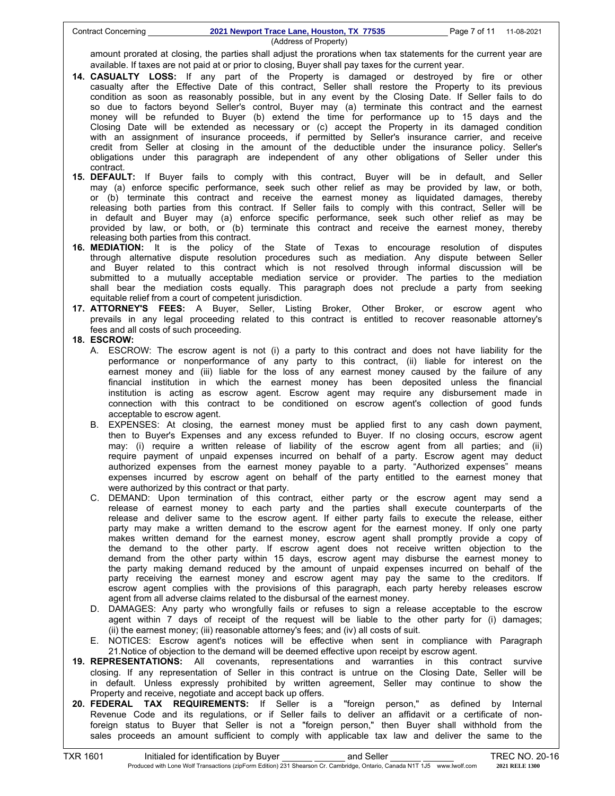(Address of Property)

amount prorated at closing, the parties shall adjust the prorations when tax statements for the current year are available. If taxes are not paid at or prior to closing, Buyer shall pay taxes for the current year.

- 14. CASUALTY LOSS: If any part of the Property is damaged or destroyed by fire or other casualty after the Effective Date of this contract, Seller shall restore the Property to its previous condition as soon as reasonably possible, but in any event by the Closing Date. If Seller fails to do so due to factors beyond Seller's control, Buyer may (a) terminate this contract and the earnest money will be refunded to Buyer (b) extend the time for performance up to 15 days and the Closing Date will be extended as necessary or (c) accept the Property in its damaged condition with an assignment of insurance proceeds, if permitted by Seller's insurance carrier, and receive credit from Seller at closing in the amount of the deductible under the insurance policy. Seller's obligations under this paragraph are independent of any other obligations of Seller under this contract.
- 15. DEFAULT: If Buyer fails to comply with this contract, Buyer will be in default, and Seller may (a) enforce specific performance, seek such other relief as may be provided by law, or both, or (b) terminate this contract and receive the earnest money as liquidated damages, thereby releasing both parties from this contract. If Seller fails to comply with this contract, Seller will be in default and Buyer may (a) enforce specific performance, seek such other relief as may be provided by law, or both, or (b) terminate this contract and receive the earnest money, thereby releasing both parties from this contract.
- 16. MEDIATION: It is the policy of the State of Texas to encourage resolution of disputes through alternative dispute resolution procedures such as mediation. Any dispute between Seller and Buyer related to this contract which is not resolved through informal discussion will be submitted to a mutually acceptable mediation service or provider. The parties to the mediation shall bear the mediation costs equally. This paragraph does not preclude a party from seeking equitable relief from a court of competent jurisdiction.
- 17. ATTORNEY'S FEES: A Buyer, Seller, Listing Broker, Other Broker, or escrow agent who prevails in any legal proceeding related to this contract is entitled to recover reasonable attorney's fees and all costs of such proceeding.

## 18. ESCROW:

- A. ESCROW: The escrow agent is not (i) a party to this contract and does not have liability for the performance or nonperformance of any party to this contract, (ii) liable for interest on the earnest money and (iii) liable for the loss of any earnest money caused by the failure of any financial institution in which the earnest money has been deposited unless the financial institution is acting as escrow agent. Escrow agent may require any disbursement made in connection with this contract to be conditioned on escrow agent's collection of good funds acceptable to escrow agent.
- B. EXPENSES: At closing, the earnest money must be applied first to any cash down payment, then to Buyer's Expenses and any excess refunded to Buyer. If no closing occurs, escrow agent may: (i) require a written release of liability of the escrow agent from all parties; and (ii) require payment of unpaid expenses incurred on behalf of a party. Escrow agent may deduct authorized expenses from the earnest money payable to a party. "Authorized expenses" means expenses incurred by escrow agent on behalf of the party entitled to the earnest money that were authorized by this contract or that party.
- C. DEMAND: Upon termination of this contract, either party or the escrow agent may send a release of earnest money to each party and the parties shall execute counterparts of the release and deliver same to the escrow agent. If either party fails to execute the release, either party may make a written demand to the escrow agent for the earnest money. If only one party makes written demand for the earnest money, escrow agent shall promptly provide a copy of the demand to the other party. If escrow agent does not receive written objection to the demand from the other party within 15 days, escrow agent may disburse the earnest money to the party making demand reduced by the amount of unpaid expenses incurred on behalf of the party receiving the earnest money and escrow agent may pay the same to the creditors. If escrow agent complies with the provisions of this paragraph, each party hereby releases escrow agent from all adverse claims related to the disbursal of the earnest money.
- D. DAMAGES: Any party who wrongfully fails or refuses to sign a release acceptable to the escrow agent within 7 days of receipt of the request will be liable to the other party for (i) damages; (ii) the earnest money; (iii) reasonable attorney's fees; and (iv) all costs of suit.
- E. NOTICES: Escrow agent's notices will be effective when sent in compliance with Paragraph 21.Notice of objection to the demand will be deemed effective upon receipt by escrow agent.
- 19. REPRESENTATIONS: All covenants, representations and warranties in this contract survive closing. If any representation of Seller in this contract is untrue on the Closing Date, Seller will be in default. Unless expressly prohibited by written agreement, Seller may continue to show the Property and receive, negotiate and accept back up offers.
- 20. FEDERAL TAX REQUIREMENTS: If Seller is a "foreign person," as defined by Internal Revenue Code and its regulations, or if Seller fails to deliver an affidavit or a certificate of nonforeign status to Buyer that Seller is not a "foreign person," then Buyer shall withhold from the sales proceeds an amount sufficient to comply with applicable tax law and deliver the same to the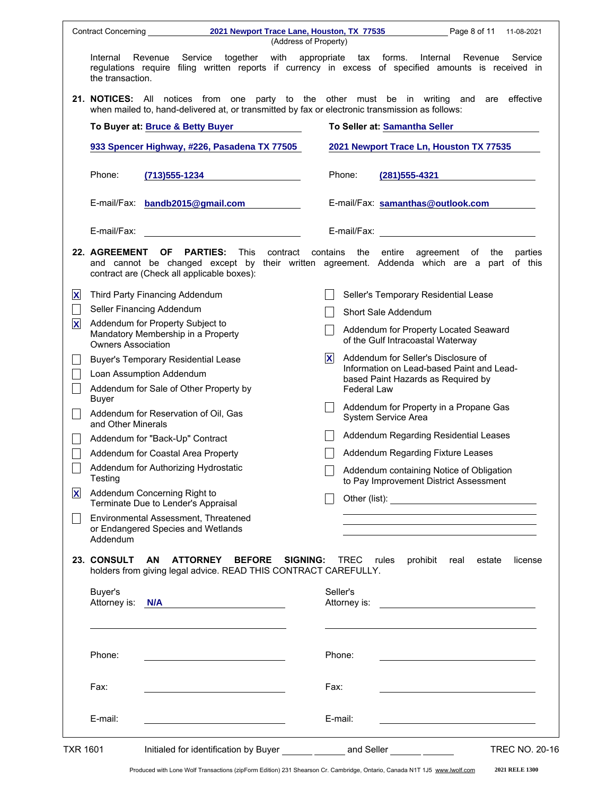| <b>Contract Concerning</b>                                                                                                     | 2021 Newport Trace Lane, Houston, TX 77535<br>Page 8 of 11<br>11-08-2021<br>(Address of Property)                                                                                               |
|--------------------------------------------------------------------------------------------------------------------------------|-------------------------------------------------------------------------------------------------------------------------------------------------------------------------------------------------|
| Service together<br>Internal<br>Revenue<br>the transaction.                                                                    | with<br>appropriate<br>Service<br>tax forms.<br>Internal Revenue<br>regulations require filing written reports if currency in excess of specified amounts is received in                        |
|                                                                                                                                | 21. NOTICES: All notices from one party to the other must be in writing and<br>are effective<br>when mailed to, hand-delivered at, or transmitted by fax or electronic transmission as follows: |
| To Buyer at: Bruce & Betty Buyer                                                                                               | To Seller at: Samantha Seller                                                                                                                                                                   |
| 933 Spencer Highway, #226, Pasadena TX 77505                                                                                   | 2021 Newport Trace Ln, Houston TX 77535                                                                                                                                                         |
| Phone:<br>(713) 555-1234                                                                                                       | Phone:<br>$(281)$ 555-4321                                                                                                                                                                      |
| E-mail/Fax: bandb2015@gmail.com                                                                                                | E-mail/Fax: samanthas@outlook.com                                                                                                                                                               |
| E-mail/Fax:                                                                                                                    | E-mail/Fax:<br><u> 1989 - Andrea Andrew Maria (h. 1989).</u>                                                                                                                                    |
| <b>22. AGREEMENT</b><br><b>OF</b><br><b>PARTIES:</b> This<br>contract are (Check all applicable boxes):                        | contract contains<br>the entire agreement of the<br>parties<br>and cannot be changed except by their written agreement. Addenda which are a part of this                                        |
| $ \mathbf{x} $<br>Third Party Financing Addendum                                                                               | Seller's Temporary Residential Lease                                                                                                                                                            |
| Seller Financing Addendum                                                                                                      | Short Sale Addendum                                                                                                                                                                             |
| $\overline{\mathbf{x}}$<br>Addendum for Property Subject to<br>Mandatory Membership in a Property<br><b>Owners Association</b> | Addendum for Property Located Seaward<br>of the Gulf Intracoastal Waterway                                                                                                                      |
| <b>Buyer's Temporary Residential Lease</b>                                                                                     | $\vert x \vert$<br>Addendum for Seller's Disclosure of                                                                                                                                          |
| Loan Assumption Addendum                                                                                                       | Information on Lead-based Paint and Lead-<br>based Paint Hazards as Required by                                                                                                                 |
| Addendum for Sale of Other Property by<br>Buyer                                                                                | <b>Federal Law</b>                                                                                                                                                                              |
| Addendum for Reservation of Oil, Gas<br>and Other Minerals                                                                     | Addendum for Property in a Propane Gas<br>System Service Area                                                                                                                                   |
| Addendum for "Back-Up" Contract                                                                                                | Addendum Regarding Residential Leases                                                                                                                                                           |
| Addendum for Coastal Area Property                                                                                             | Addendum Regarding Fixture Leases                                                                                                                                                               |
| Addendum for Authorizing Hydrostatic<br>Testing                                                                                | Addendum containing Notice of Obligation<br>to Pay Improvement District Assessment                                                                                                              |
| $\overline{\mathbf{x}}$<br>Addendum Concerning Right to<br>Terminate Due to Lender's Appraisal                                 |                                                                                                                                                                                                 |
| Environmental Assessment, Threatened<br>or Endangered Species and Wetlands<br>Addendum                                         | the control of the control of the control of the control of the control of the control of                                                                                                       |
| 23. CONSULT<br>AN ATTORNEY<br><b>BEFORE</b><br>holders from giving legal advice. READ THIS CONTRACT CAREFULLY.                 | <b>SIGNING:</b><br>TREC<br>prohibit real<br>rules<br>estate<br>license                                                                                                                          |
| Buyer's<br>Attorney is: <b>N/A</b>                                                                                             | Seller's                                                                                                                                                                                        |
| Phone:                                                                                                                         | Phone:                                                                                                                                                                                          |
| Fax:<br>the control of the control of the control of the control of the control of                                             | Fax:<br><u> 1989 - Johann Barbara, martin amerikan basal dan berasal dalam basal dan berasal dalam basal dan berasal dan</u>                                                                    |
| E-mail:                                                                                                                        | E-mail:<br>the control of the control of the control of the control of the control of                                                                                                           |
| <b>TXR 1601</b>                                                                                                                | Initialed for identification by Buyer _______ _______ and Seller ______ _______<br><b>TREC NO. 20-16</b>                                                                                        |

 $\Gamma$ 

Produced with Lone Wolf Transactions (zipForm Edition) 231 Shearson Cr. Cambridge, Ontario, Canada N1T 1J5 www.lwolf.com

**2021 RELE 1300**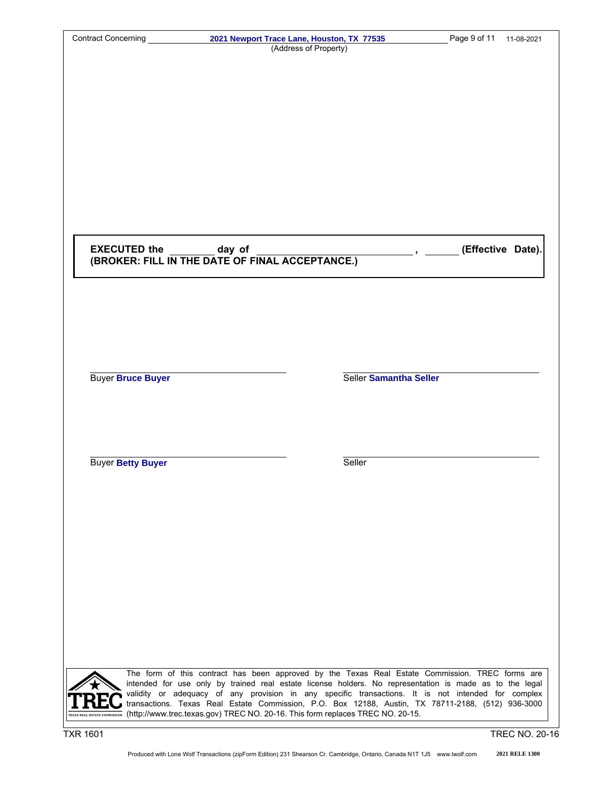| Contract Concerning                                                                                         |                                                                                                                                                                                                               | 2021 Newport Trace Lane, Houston, TX 77535 | Page 9 of 11 | 11-08-2021            |
|-------------------------------------------------------------------------------------------------------------|---------------------------------------------------------------------------------------------------------------------------------------------------------------------------------------------------------------|--------------------------------------------|--------------|-----------------------|
|                                                                                                             |                                                                                                                                                                                                               | (Address of Property)                      |              |                       |
|                                                                                                             |                                                                                                                                                                                                               |                                            |              |                       |
|                                                                                                             |                                                                                                                                                                                                               |                                            |              |                       |
|                                                                                                             |                                                                                                                                                                                                               |                                            |              |                       |
|                                                                                                             |                                                                                                                                                                                                               |                                            |              |                       |
|                                                                                                             |                                                                                                                                                                                                               |                                            |              |                       |
|                                                                                                             |                                                                                                                                                                                                               |                                            |              |                       |
|                                                                                                             |                                                                                                                                                                                                               |                                            |              |                       |
|                                                                                                             |                                                                                                                                                                                                               |                                            |              |                       |
|                                                                                                             |                                                                                                                                                                                                               |                                            |              |                       |
|                                                                                                             |                                                                                                                                                                                                               |                                            |              |                       |
|                                                                                                             |                                                                                                                                                                                                               |                                            |              |                       |
|                                                                                                             |                                                                                                                                                                                                               |                                            |              |                       |
|                                                                                                             |                                                                                                                                                                                                               |                                            |              |                       |
|                                                                                                             |                                                                                                                                                                                                               |                                            |              |                       |
| <b>EXECUTED the</b>                                                                                         | day of<br>(BROKER: FILL IN THE DATE OF FINAL ACCEPTANCE.)                                                                                                                                                     |                                            |              | (Effective Date).     |
|                                                                                                             |                                                                                                                                                                                                               |                                            |              |                       |
|                                                                                                             |                                                                                                                                                                                                               |                                            |              |                       |
|                                                                                                             |                                                                                                                                                                                                               |                                            |              |                       |
|                                                                                                             |                                                                                                                                                                                                               |                                            |              |                       |
|                                                                                                             |                                                                                                                                                                                                               |                                            |              |                       |
|                                                                                                             |                                                                                                                                                                                                               |                                            |              |                       |
|                                                                                                             |                                                                                                                                                                                                               |                                            |              |                       |
|                                                                                                             |                                                                                                                                                                                                               |                                            |              |                       |
| <b>Buyer Bruce Buyer</b>                                                                                    |                                                                                                                                                                                                               | Seller Samantha Seller                     |              |                       |
|                                                                                                             |                                                                                                                                                                                                               |                                            |              |                       |
|                                                                                                             |                                                                                                                                                                                                               |                                            |              |                       |
|                                                                                                             |                                                                                                                                                                                                               |                                            |              |                       |
|                                                                                                             |                                                                                                                                                                                                               |                                            |              |                       |
|                                                                                                             |                                                                                                                                                                                                               |                                            |              |                       |
| <b>Buyer Betty Buyer</b>                                                                                    |                                                                                                                                                                                                               | Seller                                     |              |                       |
|                                                                                                             |                                                                                                                                                                                                               |                                            |              |                       |
|                                                                                                             |                                                                                                                                                                                                               |                                            |              |                       |
|                                                                                                             |                                                                                                                                                                                                               |                                            |              |                       |
|                                                                                                             |                                                                                                                                                                                                               |                                            |              |                       |
|                                                                                                             |                                                                                                                                                                                                               |                                            |              |                       |
|                                                                                                             |                                                                                                                                                                                                               |                                            |              |                       |
|                                                                                                             |                                                                                                                                                                                                               |                                            |              |                       |
|                                                                                                             |                                                                                                                                                                                                               |                                            |              |                       |
|                                                                                                             |                                                                                                                                                                                                               |                                            |              |                       |
|                                                                                                             |                                                                                                                                                                                                               |                                            |              |                       |
|                                                                                                             |                                                                                                                                                                                                               |                                            |              |                       |
|                                                                                                             |                                                                                                                                                                                                               |                                            |              |                       |
|                                                                                                             |                                                                                                                                                                                                               |                                            |              |                       |
|                                                                                                             |                                                                                                                                                                                                               |                                            |              |                       |
|                                                                                                             |                                                                                                                                                                                                               |                                            |              |                       |
|                                                                                                             | The form of this contract has been approved by the Texas Real Estate Commission. TREC forms are                                                                                                               |                                            |              |                       |
|                                                                                                             | intended for use only by trained real estate license holders. No representation is made as to the legal<br>validity or adequacy of any provision in any specific transactions. It is not intended for complex |                                            |              |                       |
|                                                                                                             | transactions. Texas Real Estate Commission, P.O. Box 12188, Austin, TX 78711-2188, (512) 936-3000                                                                                                             |                                            |              |                       |
| TEXAS REAL ESTATE COMMISSION (http://www.trec.texas.gov) TREC NO. 20-16. This form replaces TREC NO. 20-15. |                                                                                                                                                                                                               |                                            |              |                       |
| <b>TXR 1601</b>                                                                                             |                                                                                                                                                                                                               |                                            |              | <b>TREC NO. 20-16</b> |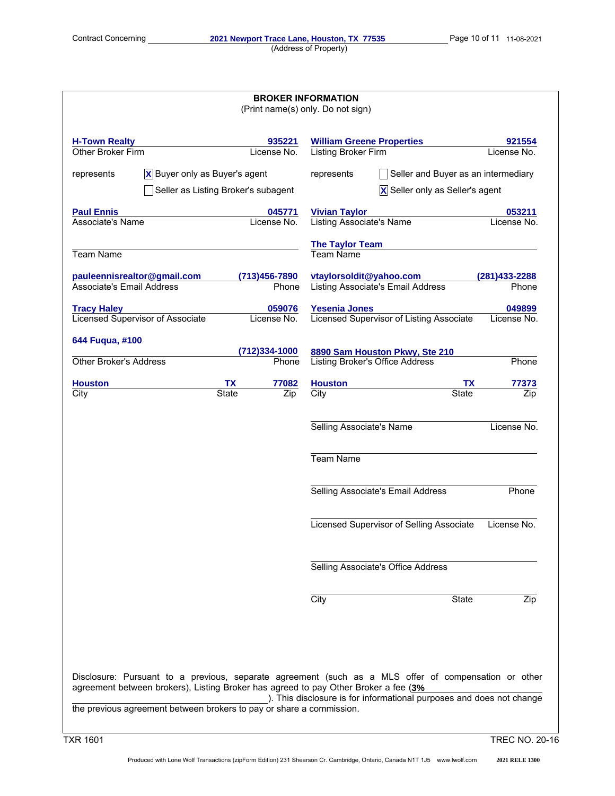|                                  |                                                                      | <b>BROKER INFORMATION</b><br>(Print name(s) only. Do not sign)                                                                                                                                                                                                      |                |
|----------------------------------|----------------------------------------------------------------------|---------------------------------------------------------------------------------------------------------------------------------------------------------------------------------------------------------------------------------------------------------------------|----------------|
| <b>H-Town Realty</b>             | 935221                                                               | <b>William Greene Properties</b>                                                                                                                                                                                                                                    | 921554         |
| Other Broker Firm                | License No.                                                          | <b>Listing Broker Firm</b>                                                                                                                                                                                                                                          | License No.    |
| represents                       | $ \mathbf{X} $ Buyer only as Buyer's agent                           | Seller and Buyer as an intermediary<br>represents                                                                                                                                                                                                                   |                |
|                                  | Seller as Listing Broker's subagent                                  | $ \mathbf{X} $ Seller only as Seller's agent                                                                                                                                                                                                                        |                |
| <b>Paul Ennis</b>                | 045771                                                               | <b>Vivian Taylor</b>                                                                                                                                                                                                                                                | 053211         |
| Associate's Name                 | License No.                                                          | <b>Listing Associate's Name</b>                                                                                                                                                                                                                                     | License No.    |
|                                  |                                                                      | <b>The Taylor Team</b>                                                                                                                                                                                                                                              |                |
| <b>Team Name</b>                 |                                                                      | <b>Team Name</b>                                                                                                                                                                                                                                                    |                |
| pauleennisrealtor@gmail.com      | (713)456-7890                                                        | vtaylorsoldit@yahoo.com                                                                                                                                                                                                                                             | (281) 433-2288 |
| <b>Associate's Email Address</b> | Phone                                                                | Listing Associate's Email Address                                                                                                                                                                                                                                   | Phone          |
| <b>Tracy Haley</b>               | 059076                                                               | <b>Yesenia Jones</b>                                                                                                                                                                                                                                                | 049899         |
| Licensed Supervisor of Associate | License No.                                                          | Licensed Supervisor of Listing Associate                                                                                                                                                                                                                            | License No.    |
| 644 Fuqua, #100                  |                                                                      |                                                                                                                                                                                                                                                                     |                |
|                                  | (712)334-1000                                                        | 8890 Sam Houston Pkwy, Ste 210                                                                                                                                                                                                                                      |                |
| <b>Other Broker's Address</b>    | Phone                                                                | Listing Broker's Office Address                                                                                                                                                                                                                                     | Phone          |
| <b>Houston</b>                   | 77082<br>TХ                                                          | <b>Houston</b><br><b>TX</b>                                                                                                                                                                                                                                         | 77373          |
| City                             | <b>State</b><br>Zip                                                  | <b>State</b><br>City                                                                                                                                                                                                                                                | Zip            |
|                                  |                                                                      | Selling Associate's Name<br><b>Team Name</b>                                                                                                                                                                                                                        | License No.    |
|                                  |                                                                      | Selling Associate's Email Address                                                                                                                                                                                                                                   | Phone          |
|                                  |                                                                      | Licensed Supervisor of Selling Associate                                                                                                                                                                                                                            | License No.    |
|                                  |                                                                      | Selling Associate's Office Address                                                                                                                                                                                                                                  |                |
|                                  |                                                                      | City<br>State                                                                                                                                                                                                                                                       | Zip            |
|                                  | the previous agreement between brokers to pay or share a commission. | Disclosure: Pursuant to a previous, separate agreement (such as a MLS offer of compensation or other<br>agreement between brokers), Listing Broker has agreed to pay Other Broker a fee (3%<br>). This disclosure is for informational purposes and does not change |                |